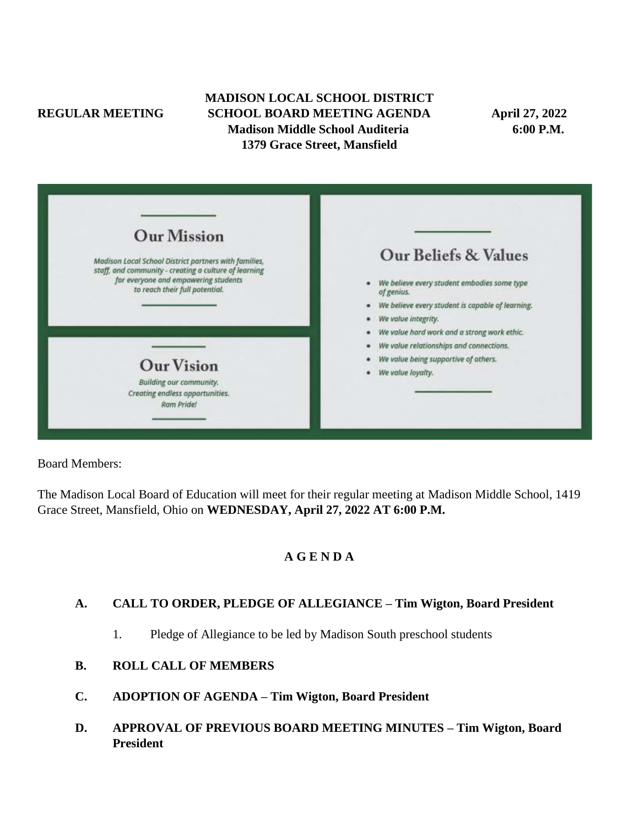# **MADISON LOCAL SCHOOL DISTRICT REGULAR MEETING SCHOOL BOARD MEETING AGENDA April 27, 2022 Madison Middle School Auditeria 6:00 P.M. 1379 Grace Street, Mansfield**

| <b>Our Mission</b><br>Madison Local School District partners with families,<br>staff, and community - creating a culture of learning<br>for everyone and empowering students<br>to reach their full potential. | Our Beliefs & Values<br>We believe every student embodies some type<br>of genius.<br>We believe every student is capable of learning. |
|----------------------------------------------------------------------------------------------------------------------------------------------------------------------------------------------------------------|---------------------------------------------------------------------------------------------------------------------------------------|
|                                                                                                                                                                                                                | We value integrity.<br>We value hard work and a strong work ethic.                                                                    |
| <b>Our Vision</b><br>Building our community.<br>Creating endless opportunities.<br>Ram Pride!                                                                                                                  | We value relationships and connections.<br>We value being supportive of others.<br>We value loyalty.                                  |

Board Members:

The Madison Local Board of Education will meet for their regular meeting at Madison Middle School, 1419 Grace Street, Mansfield, Ohio on **WEDNESDAY, April 27, 2022 AT 6:00 P.M.**

# **A G E N D A**

# **A. CALL TO ORDER, PLEDGE OF ALLEGIANCE – Tim Wigton, Board President**

- 1. Pledge of Allegiance to be led by Madison South preschool students
- **B. ROLL CALL OF MEMBERS**
- **C. ADOPTION OF AGENDA – Tim Wigton, Board President**
- **D. APPROVAL OF PREVIOUS BOARD MEETING MINUTES – Tim Wigton, Board President**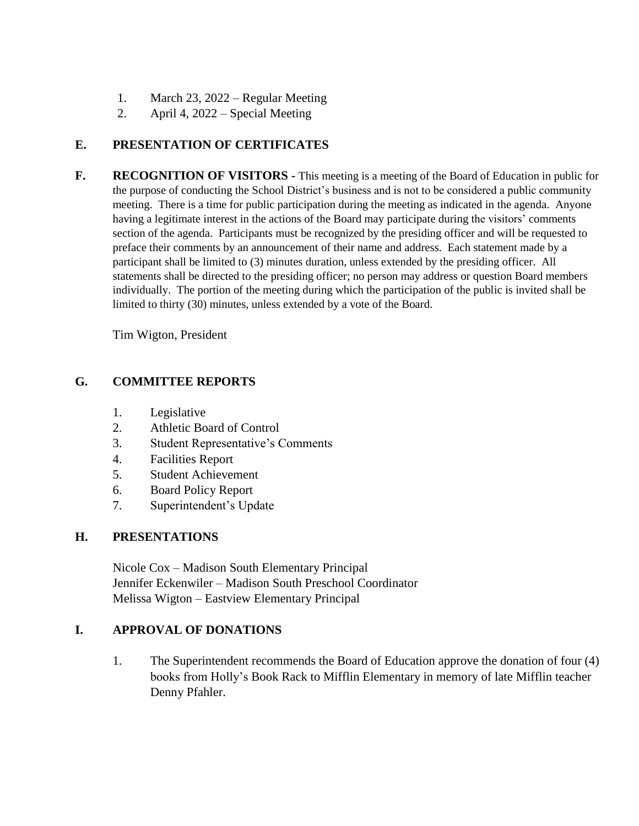- 1. March 23, 2022 Regular Meeting
- 2. April 4, 2022 Special Meeting

# **E. PRESENTATION OF CERTIFICATES**

**F. RECOGNITION OF VISITORS -** This meeting is a meeting of the Board of Education in public for the purpose of conducting the School District's business and is not to be considered a public community meeting. There is a time for public participation during the meeting as indicated in the agenda. Anyone having a legitimate interest in the actions of the Board may participate during the visitors' comments section of the agenda. Participants must be recognized by the presiding officer and will be requested to preface their comments by an announcement of their name and address. Each statement made by a participant shall be limited to (3) minutes duration, unless extended by the presiding officer. All statements shall be directed to the presiding officer; no person may address or question Board members individually. The portion of the meeting during which the participation of the public is invited shall be limited to thirty (30) minutes, unless extended by a vote of the Board.

Tim Wigton, President

# **G. COMMITTEE REPORTS**

- 1. Legislative
- 2. Athletic Board of Control
- 3. Student Representative's Comments
- 4. Facilities Report
- 5. Student Achievement
- 6. Board Policy Report
- 7. Superintendent's Update

# **H. PRESENTATIONS**

Nicole Cox – Madison South Elementary Principal Jennifer Eckenwiler – Madison South Preschool Coordinator Melissa Wigton – Eastview Elementary Principal

# **I. APPROVAL OF DONATIONS**

1. The Superintendent recommends the Board of Education approve the donation of four (4) books from Holly's Book Rack to Mifflin Elementary in memory of late Mifflin teacher Denny Pfahler.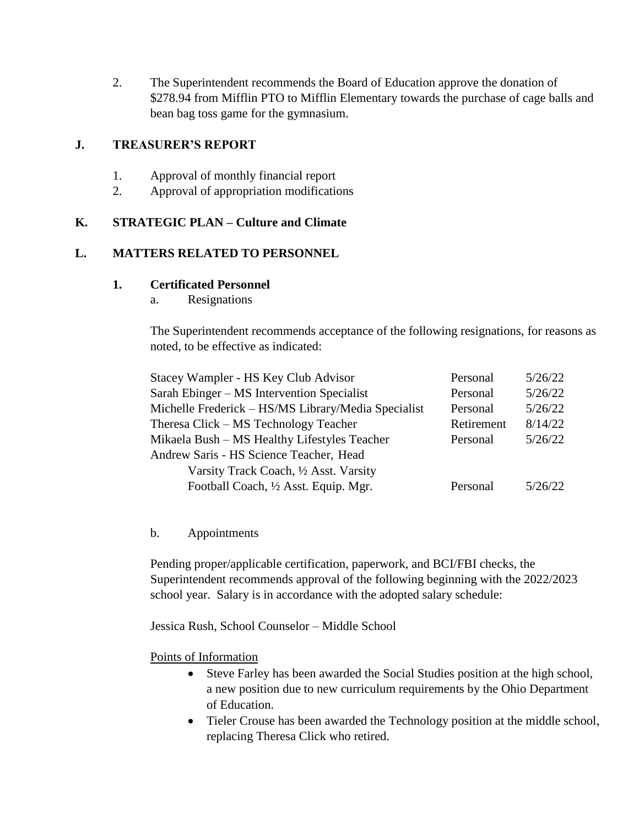2. The Superintendent recommends the Board of Education approve the donation of \$278.94 from Mifflin PTO to Mifflin Elementary towards the purchase of cage balls and bean bag toss game for the gymnasium.

## **J. TREASURER'S REPORT**

- 1. Approval of monthly financial report
- 2. Approval of appropriation modifications

# **K. STRATEGIC PLAN – Culture and Climate**

### **L. MATTERS RELATED TO PERSONNEL**

#### **1. Certificated Personnel**

a. Resignations

The Superintendent recommends acceptance of the following resignations, for reasons as noted, to be effective as indicated:

| Stacey Wampler - HS Key Club Advisor                | Personal   | 5/26/22 |
|-----------------------------------------------------|------------|---------|
| Sarah Ebinger – MS Intervention Specialist          | Personal   | 5/26/22 |
| Michelle Frederick – HS/MS Library/Media Specialist | Personal   | 5/26/22 |
| Theresa Click – MS Technology Teacher               | Retirement | 8/14/22 |
| Mikaela Bush - MS Healthy Lifestyles Teacher        | Personal   | 5/26/22 |
| Andrew Saris - HS Science Teacher, Head             |            |         |
| Varsity Track Coach, 1/2 Asst. Varsity              |            |         |
| Football Coach, 1/2 Asst. Equip. Mgr.               | Personal   | 5/26/22 |

#### b. Appointments

Pending proper/applicable certification, paperwork, and BCI/FBI checks, the Superintendent recommends approval of the following beginning with the 2022/2023 school year. Salary is in accordance with the adopted salary schedule:

Jessica Rush, School Counselor – Middle School

Points of Information

- Steve Farley has been awarded the Social Studies position at the high school, a new position due to new curriculum requirements by the Ohio Department of Education.
- Tieler Crouse has been awarded the Technology position at the middle school, replacing Theresa Click who retired.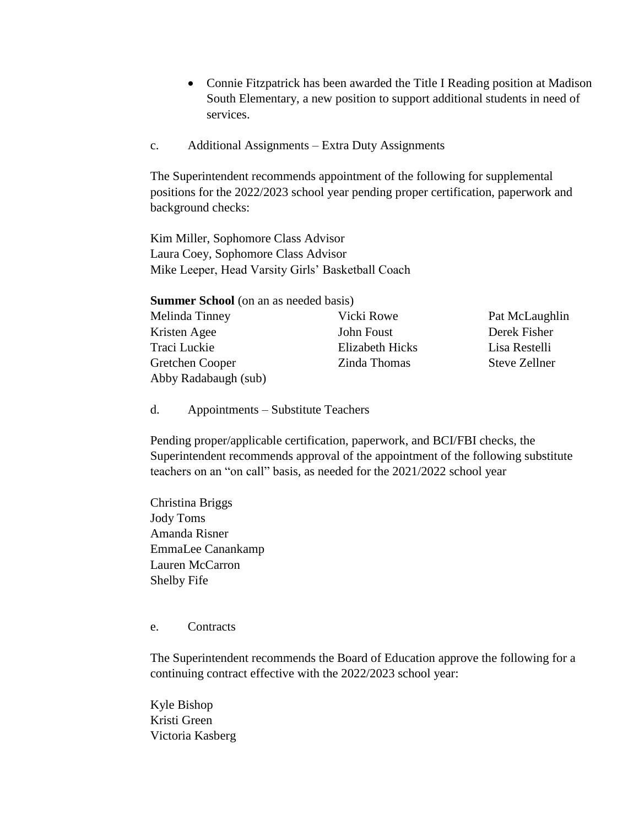- Connie Fitzpatrick has been awarded the Title I Reading position at Madison South Elementary, a new position to support additional students in need of services.
- c. Additional Assignments Extra Duty Assignments

The Superintendent recommends appointment of the following for supplemental positions for the 2022/2023 school year pending proper certification, paperwork and background checks:

Kim Miller, Sophomore Class Advisor Laura Coey, Sophomore Class Advisor Mike Leeper, Head Varsity Girls' Basketball Coach

**Summer School** (on an as needed basis)

| Melinda Tinney       | Vicki Rowe             | Pat McLaughlin |
|----------------------|------------------------|----------------|
| Kristen Agee         | John Foust             | Derek Fisher   |
| Traci Luckie         | <b>Elizabeth Hicks</b> | Lisa Restelli  |
| Gretchen Cooper      | Zinda Thomas           | Steve Zellner  |
| Abby Radabaugh (sub) |                        |                |

d. Appointments – Substitute Teachers

Pending proper/applicable certification, paperwork, and BCI/FBI checks, the Superintendent recommends approval of the appointment of the following substitute teachers on an "on call" basis, as needed for the 2021/2022 school year

Christina Briggs Jody Toms Amanda Risner EmmaLee Canankamp Lauren McCarron Shelby Fife

e. Contracts

The Superintendent recommends the Board of Education approve the following for a continuing contract effective with the 2022/2023 school year:

Kyle Bishop Kristi Green Victoria Kasberg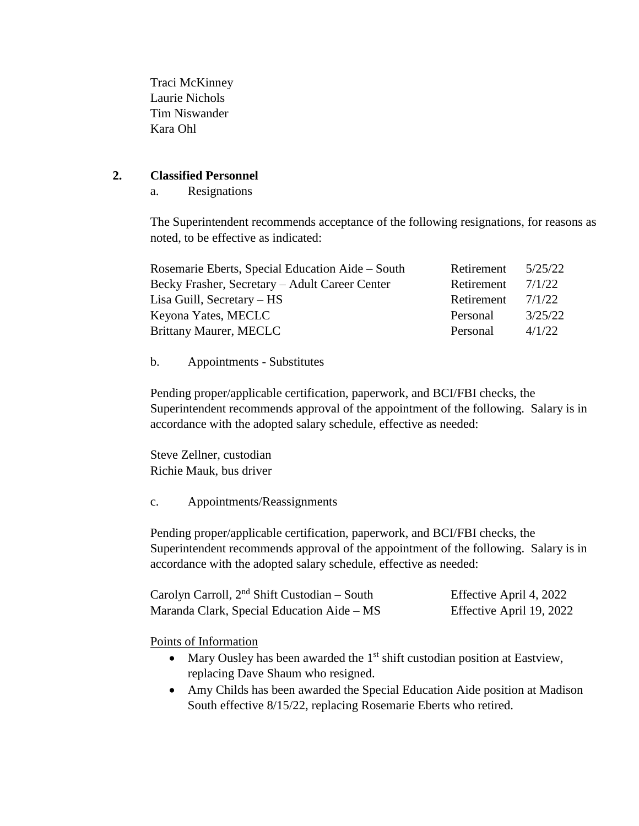Traci McKinney Laurie Nichols Tim Niswander Kara Ohl

### **2. Classified Personnel**

a. Resignations

The Superintendent recommends acceptance of the following resignations, for reasons as noted, to be effective as indicated:

| Rosemarie Eberts, Special Education Aide – South | Retirement | 5/25/22 |
|--------------------------------------------------|------------|---------|
| Becky Frasher, Secretary – Adult Career Center   | Retirement | 7/1/22  |
| Lisa Guill, Secretary $-$ HS                     | Retirement | 7/1/22  |
| Keyona Yates, MECLC                              | Personal   | 3/25/22 |
| <b>Brittany Maurer, MECLC</b>                    | Personal   | 4/1/22  |

b. Appointments - Substitutes

Pending proper/applicable certification, paperwork, and BCI/FBI checks, the Superintendent recommends approval of the appointment of the following. Salary is in accordance with the adopted salary schedule, effective as needed:

Steve Zellner, custodian Richie Mauk, bus driver

c. Appointments/Reassignments

Pending proper/applicable certification, paperwork, and BCI/FBI checks, the Superintendent recommends approval of the appointment of the following. Salary is in accordance with the adopted salary schedule, effective as needed:

| Carolyn Carroll, $2nd$ Shift Custodian – South | Effective April 4, 2022  |
|------------------------------------------------|--------------------------|
| Maranda Clark, Special Education Aide – MS     | Effective April 19, 2022 |

Points of Information

- Mary Ousley has been awarded the  $1<sup>st</sup>$  shift custodian position at Eastview, replacing Dave Shaum who resigned.
- Amy Childs has been awarded the Special Education Aide position at Madison South effective 8/15/22, replacing Rosemarie Eberts who retired.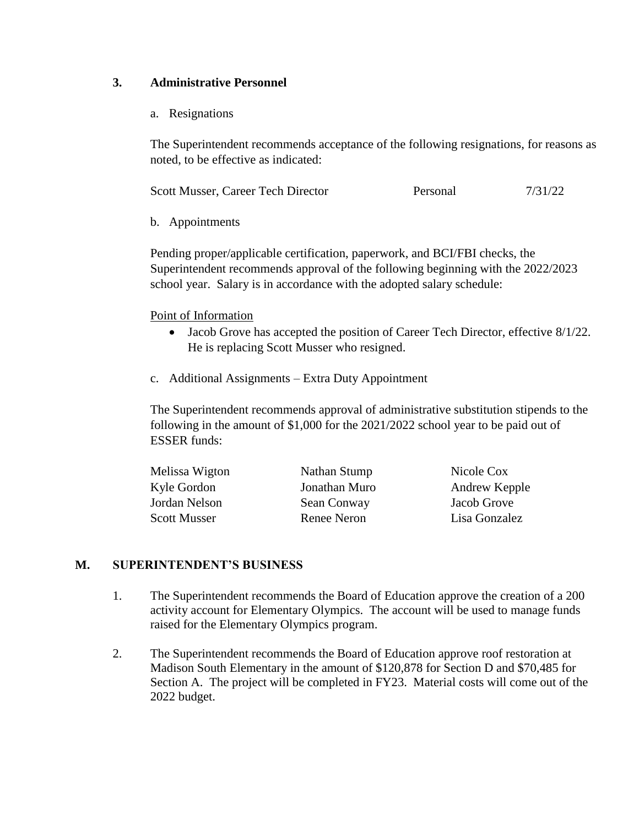# **3. Administrative Personnel**

a. Resignations

The Superintendent recommends acceptance of the following resignations, for reasons as noted, to be effective as indicated:

| Scott Musser, Career Tech Director | Personal | 7/31/22 |
|------------------------------------|----------|---------|
|------------------------------------|----------|---------|

b. Appointments

Pending proper/applicable certification, paperwork, and BCI/FBI checks, the Superintendent recommends approval of the following beginning with the 2022/2023 school year. Salary is in accordance with the adopted salary schedule:

# Point of Information

- Jacob Grove has accepted the position of Career Tech Director, effective 8/1/22. He is replacing Scott Musser who resigned.
- c. Additional Assignments Extra Duty Appointment

The Superintendent recommends approval of administrative substitution stipends to the following in the amount of \$1,000 for the 2021/2022 school year to be paid out of ESSER funds:

| Melissa Wigton      | Nathan Stump  | Nicole Cox           |
|---------------------|---------------|----------------------|
| Kyle Gordon         | Jonathan Muro | <b>Andrew Kepple</b> |
| Jordan Nelson       | Sean Conway   | Jacob Grove          |
| <b>Scott Musser</b> | Renee Neron   | Lisa Gonzalez        |
|                     |               |                      |

# **M. SUPERINTENDENT'S BUSINESS**

- 1. The Superintendent recommends the Board of Education approve the creation of a 200 activity account for Elementary Olympics. The account will be used to manage funds raised for the Elementary Olympics program.
- 2. The Superintendent recommends the Board of Education approve roof restoration at Madison South Elementary in the amount of \$120,878 for Section D and \$70,485 for Section A. The project will be completed in FY23. Material costs will come out of the 2022 budget.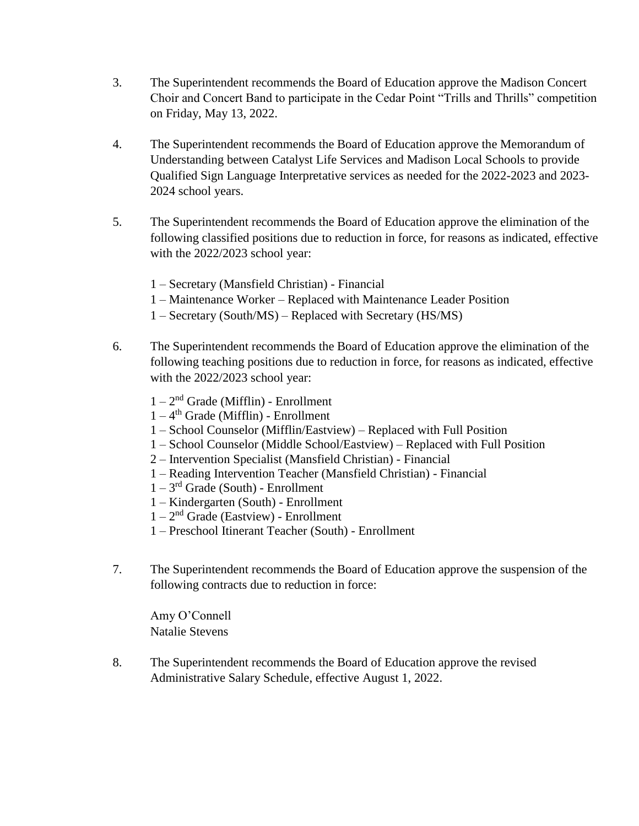- 3. The Superintendent recommends the Board of Education approve the Madison Concert Choir and Concert Band to participate in the Cedar Point "Trills and Thrills" competition on Friday, May 13, 2022.
- 4. The Superintendent recommends the Board of Education approve the Memorandum of Understanding between Catalyst Life Services and Madison Local Schools to provide Qualified Sign Language Interpretative services as needed for the 2022-2023 and 2023- 2024 school years.
- 5. The Superintendent recommends the Board of Education approve the elimination of the following classified positions due to reduction in force, for reasons as indicated, effective with the 2022/2023 school year:
	- 1 Secretary (Mansfield Christian) Financial
	- 1 Maintenance Worker Replaced with Maintenance Leader Position
	- 1 Secretary (South/MS) Replaced with Secretary (HS/MS)
- 6. The Superintendent recommends the Board of Education approve the elimination of the following teaching positions due to reduction in force, for reasons as indicated, effective with the 2022/2023 school year:
	- $1 2<sup>nd</sup>$  Grade (Mifflin) Enrollment
	- $1 4$ <sup>th</sup> Grade (Mifflin) Enrollment
	- 1 School Counselor (Mifflin/Eastview) Replaced with Full Position
	- 1 School Counselor (Middle School/Eastview) Replaced with Full Position
	- 2 Intervention Specialist (Mansfield Christian) Financial
	- 1 Reading Intervention Teacher (Mansfield Christian) Financial
	- 1 3 rd Grade (South) Enrollment
	- 1 Kindergarten (South) Enrollment
	- $1 2<sup>nd</sup>$  Grade (Eastview) Enrollment
	- 1 Preschool Itinerant Teacher (South) Enrollment
- 7. The Superintendent recommends the Board of Education approve the suspension of the following contracts due to reduction in force:

Amy O'Connell Natalie Stevens

8. The Superintendent recommends the Board of Education approve the revised Administrative Salary Schedule, effective August 1, 2022.